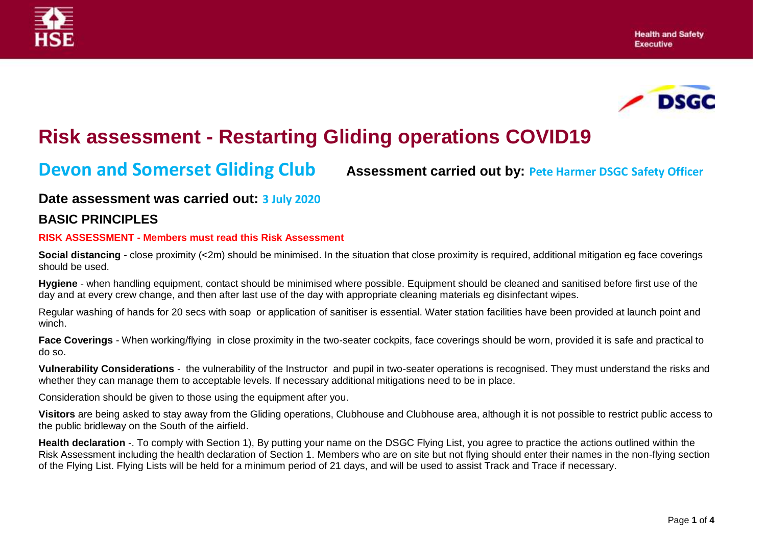



# **Risk assessment - Restarting Gliding operations COVID19**

**Devon and Somerset Gliding Club Assessment carried out by: Pete Harmer DSGC Safety Officer**

## **Date assessment was carried out: 3 July 2020**

### **BASIC PRINCIPLES**

#### **RISK ASSESSMENT - Members must read this Risk Assessment**

**Social distancing** - close proximity (<2m) should be minimised. In the situation that close proximity is required, additional mitigation eg face coverings should be used.

**Hygiene** - when handling equipment, contact should be minimised where possible. Equipment should be cleaned and sanitised before first use of the day and at every crew change, and then after last use of the day with appropriate cleaning materials eg disinfectant wipes.

Regular washing of hands for 20 secs with soap or application of sanitiser is essential. Water station facilities have been provided at launch point and winch.

**Face Coverings** - When working/flying in close proximity in the two-seater cockpits, face coverings should be worn, provided it is safe and practical to do so.

**Vulnerability Considerations** - the vulnerability of the Instructor and pupil in two-seater operations is recognised. They must understand the risks and whether they can manage them to acceptable levels. If necessary additional mitigations need to be in place.

Consideration should be given to those using the equipment after you.

**Visitors** are being asked to stay away from the Gliding operations, Clubhouse and Clubhouse area, although it is not possible to restrict public access to the public bridleway on the South of the airfield.

**Health declaration** -. To comply with Section 1), By putting your name on the DSGC Flying List, you agree to practice the actions outlined within the Risk Assessment including the health declaration of Section 1. Members who are on site but not flying should enter their names in the non-flying section of the Flying List. Flying Lists will be held for a minimum period of 21 days, and will be used to assist Track and Trace if necessary.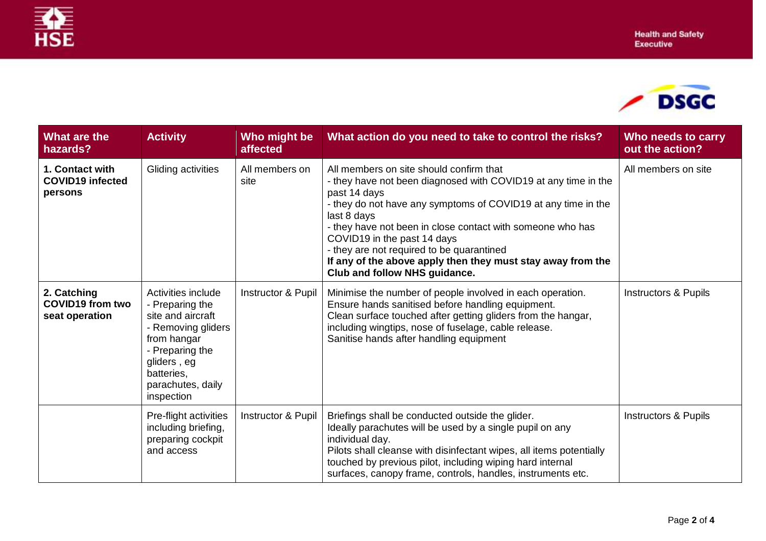

| What are the<br>hazards?                                 | <b>Activity</b>                                                                                                                                                                    | Who might be<br>affected | What action do you need to take to control the risks?                                                                                                                                                                                                                                                                                                                                                                                               | Who needs to carry<br>out the action? |
|----------------------------------------------------------|------------------------------------------------------------------------------------------------------------------------------------------------------------------------------------|--------------------------|-----------------------------------------------------------------------------------------------------------------------------------------------------------------------------------------------------------------------------------------------------------------------------------------------------------------------------------------------------------------------------------------------------------------------------------------------------|---------------------------------------|
| 1. Contact with<br><b>COVID19 infected</b><br>persons    | Gliding activities                                                                                                                                                                 | All members on<br>site   | All members on site should confirm that<br>- they have not been diagnosed with COVID19 at any time in the<br>past 14 days<br>- they do not have any symptoms of COVID19 at any time in the<br>last 8 days<br>- they have not been in close contact with someone who has<br>COVID19 in the past 14 days<br>- they are not required to be quarantined<br>If any of the above apply then they must stay away from the<br>Club and follow NHS guidance. | All members on site                   |
| 2. Catching<br><b>COVID19 from two</b><br>seat operation | Activities include<br>- Preparing the<br>site and aircraft<br>- Removing gliders<br>from hangar<br>- Preparing the<br>gliders, eg<br>batteries,<br>parachutes, daily<br>inspection | Instructor & Pupil       | Minimise the number of people involved in each operation.<br>Ensure hands sanitised before handling equipment.<br>Clean surface touched after getting gliders from the hangar,<br>including wingtips, nose of fuselage, cable release.<br>Sanitise hands after handling equipment                                                                                                                                                                   | <b>Instructors &amp; Pupils</b>       |
|                                                          | Pre-flight activities<br>including briefing,<br>preparing cockpit<br>and access                                                                                                    | Instructor & Pupil       | Briefings shall be conducted outside the glider.<br>Ideally parachutes will be used by a single pupil on any<br>individual day.<br>Pilots shall cleanse with disinfectant wipes, all items potentially<br>touched by previous pilot, including wiping hard internal<br>surfaces, canopy frame, controls, handles, instruments etc.                                                                                                                  | Instructors & Pupils                  |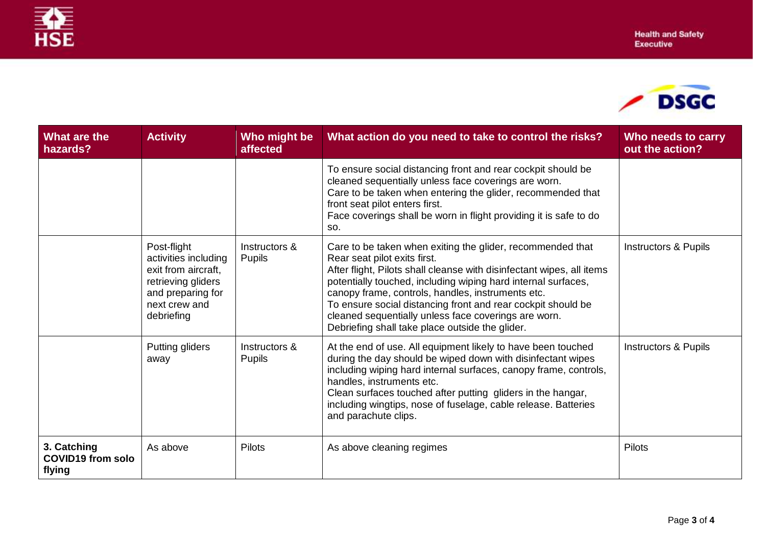

| What are the<br>hazards?                          | <b>Activity</b>                                                                                                                      | Who might be<br>affected       | What action do you need to take to control the risks?                                                                                                                                                                                                                                                                                                                                                                                                                | Who needs to carry<br>out the action? |
|---------------------------------------------------|--------------------------------------------------------------------------------------------------------------------------------------|--------------------------------|----------------------------------------------------------------------------------------------------------------------------------------------------------------------------------------------------------------------------------------------------------------------------------------------------------------------------------------------------------------------------------------------------------------------------------------------------------------------|---------------------------------------|
|                                                   |                                                                                                                                      |                                | To ensure social distancing front and rear cockpit should be<br>cleaned sequentially unless face coverings are worn.<br>Care to be taken when entering the glider, recommended that<br>front seat pilot enters first.<br>Face coverings shall be worn in flight providing it is safe to do<br>SO.                                                                                                                                                                    |                                       |
|                                                   | Post-flight<br>activities including<br>exit from aircraft,<br>retrieving gliders<br>and preparing for<br>next crew and<br>debriefing | Instructors &<br><b>Pupils</b> | Care to be taken when exiting the glider, recommended that<br>Rear seat pilot exits first.<br>After flight, Pilots shall cleanse with disinfectant wipes, all items<br>potentially touched, including wiping hard internal surfaces,<br>canopy frame, controls, handles, instruments etc.<br>To ensure social distancing front and rear cockpit should be<br>cleaned sequentially unless face coverings are worn.<br>Debriefing shall take place outside the glider. | <b>Instructors &amp; Pupils</b>       |
|                                                   | Putting gliders<br>away                                                                                                              | Instructors &<br><b>Pupils</b> | At the end of use. All equipment likely to have been touched<br>during the day should be wiped down with disinfectant wipes<br>including wiping hard internal surfaces, canopy frame, controls,<br>handles, instruments etc.<br>Clean surfaces touched after putting gliders in the hangar,<br>including wingtips, nose of fuselage, cable release. Batteries<br>and parachute clips.                                                                                | <b>Instructors &amp; Pupils</b>       |
| 3. Catching<br><b>COVID19 from solo</b><br>flying | As above                                                                                                                             | Pilots                         | As above cleaning regimes                                                                                                                                                                                                                                                                                                                                                                                                                                            | <b>Pilots</b>                         |